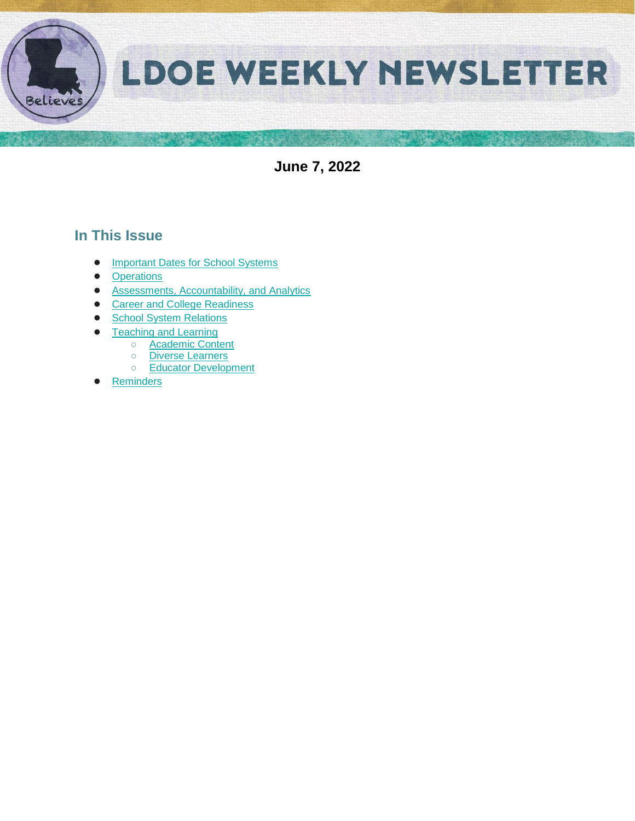

**June 7, 2022**

## **In This Issue**

- [Important Dates for School Systems](#page-1-0)
- **[Operations](#page-2-0)**
- [Assessments, Accountability, and Analytics](#page-3-0)
- [Career and College Readiness](#page-4-0)
- [School System Relations](#page-5-0)
- **[Teaching and Learning](#page-6-0)** 
	- [Academic Content](#page-6-1) ○ [Diverse Learners](#page-6-2)
	- [Educator Development](#page-7-0)
- **[Reminders](#page-11-0)**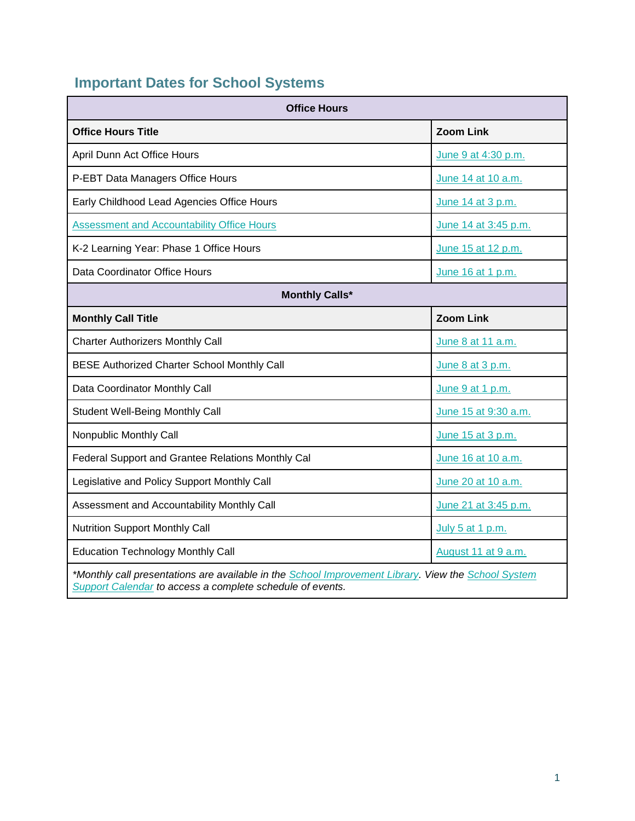# <span id="page-1-0"></span>**Important Dates for School Systems**

| <b>Office Hours</b>                                                                                                                                              |                      |  |  |  |
|------------------------------------------------------------------------------------------------------------------------------------------------------------------|----------------------|--|--|--|
| <b>Office Hours Title</b>                                                                                                                                        | <b>Zoom Link</b>     |  |  |  |
| April Dunn Act Office Hours                                                                                                                                      | June 9 at 4:30 p.m.  |  |  |  |
| P-EBT Data Managers Office Hours                                                                                                                                 | June 14 at 10 a.m.   |  |  |  |
| Early Childhood Lead Agencies Office Hours                                                                                                                       | June 14 at 3 p.m.    |  |  |  |
| <b>Assessment and Accountability Office Hours</b>                                                                                                                | June 14 at 3:45 p.m. |  |  |  |
| K-2 Learning Year: Phase 1 Office Hours                                                                                                                          | June 15 at 12 p.m.   |  |  |  |
| Data Coordinator Office Hours                                                                                                                                    | June 16 at 1 p.m.    |  |  |  |
| <b>Monthly Calls*</b>                                                                                                                                            |                      |  |  |  |
| <b>Monthly Call Title</b>                                                                                                                                        | <b>Zoom Link</b>     |  |  |  |
| <b>Charter Authorizers Monthly Call</b>                                                                                                                          | June 8 at 11 a.m.    |  |  |  |
| <b>BESE Authorized Charter School Monthly Call</b>                                                                                                               | June 8 at 3 p.m.     |  |  |  |
| Data Coordinator Monthly Call                                                                                                                                    | June 9 at 1 p.m.     |  |  |  |
| <b>Student Well-Being Monthly Call</b>                                                                                                                           | June 15 at 9:30 a.m. |  |  |  |
| Nonpublic Monthly Call                                                                                                                                           | June 15 at 3 p.m.    |  |  |  |
| Federal Support and Grantee Relations Monthly Cal                                                                                                                | June 16 at 10 a.m.   |  |  |  |
| Legislative and Policy Support Monthly Call                                                                                                                      | June 20 at 10 a.m.   |  |  |  |
| Assessment and Accountability Monthly Call                                                                                                                       | June 21 at 3:45 p.m. |  |  |  |
| <b>Nutrition Support Monthly Call</b>                                                                                                                            | July 5 at 1 p.m.     |  |  |  |
| <b>Education Technology Monthly Call</b>                                                                                                                         | August 11 at 9 a.m.  |  |  |  |
| *Monthly call presentations are available in the School Improvement Library. View the School System<br>Support Calendar to access a complete schedule of events. |                      |  |  |  |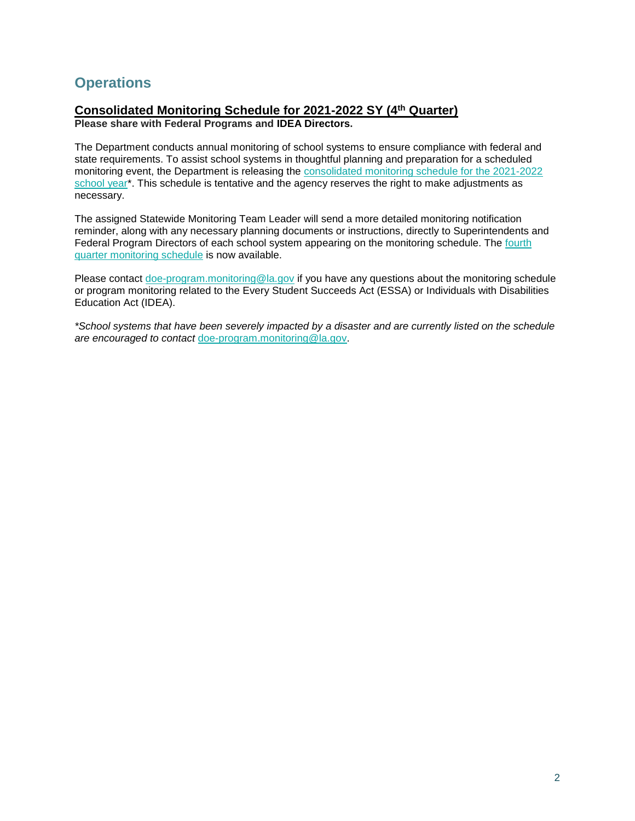## <span id="page-2-0"></span>**Operations**

## **Consolidated Monitoring Schedule for 2021-2022 SY (4th Quarter)**

**Please share with Federal Programs and IDEA Directors.**

The Department conducts annual monitoring of school systems to ensure compliance with federal and state requirements. To assist school systems in thoughtful planning and preparation for a scheduled monitoring event, the Department is releasing th[e](https://www.louisianabelieves.com/docs/default-source/links-for-newsletters/2021-2022-consolidated-monitoring-schedule_public_5-12-22.pdf) [consolidated monitoring schedule for the 2021-2022](https://www.louisianabelieves.com/docs/default-source/links-for-newsletters/2021-2022-consolidated-monitoring-schedule_public_5-12-22.pdf)  [school year\\*](https://www.louisianabelieves.com/docs/default-source/links-for-newsletters/2021-2022-consolidated-monitoring-schedule_public_5-12-22.pdf). This schedule is tentative and the agency reserves the right to make adjustments as necessary.

The assigned Statewide Monitoring Team Leader will send a more detailed monitoring notification reminder, along with any necessary planning documents or instructions, directly to Superintendents and Federal Program Directors of each school system appearing on the monitoring schedule. Th[e](https://www.louisianabelieves.com/docs/default-source/links-for-newsletters/2021-2022_4th-quarter-monitoring-schedule-only_public.pdf) [fourth](https://www.louisianabelieves.com/docs/default-source/links-for-newsletters/2021-2022_4th-quarter-monitoring-schedule-only_public.pdf)  [quarter monitoring schedule](https://www.louisianabelieves.com/docs/default-source/links-for-newsletters/2021-2022_4th-quarter-monitoring-schedule-only_public.pdf) is now available.

Please contact [doe-program.monitoring@la.gov](mailto:DOE-program.monitoring@la.gov) if you have any questions about the monitoring schedule or program monitoring related to the Every Student Succeeds Act (ESSA) or Individuals with Disabilities Education Act (IDEA).

*\*School systems that have been severely impacted by a disaster and are currently listed on the schedule are encouraged to contact* [doe-program.monitoring@la.gov.](mailto:DOE-program.monitoring@la.gov)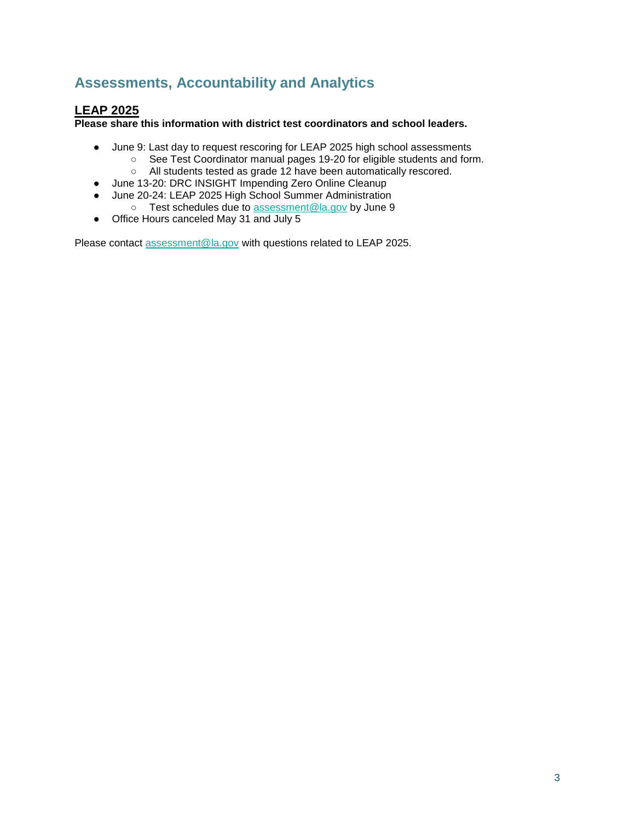## <span id="page-3-0"></span>**Assessments, Accountability and Analytics**

## **LEAP 2025**

**Please share this information with district test coordinators and school leaders.**

- June 9: Last day to request rescoring for LEAP 2025 high school assessments
	- See Test Coordinator manual pages 19-20 for eligible students and form.
	- All students tested as grade 12 have been automatically rescored.
- June 13-20: DRC INSIGHT Impending Zero Online Cleanup
- June 20-24: LEAP 2025 High School Summer Administration
	- Test schedules due to [assessment@la.gov](mailto:assessment@la.gov) by June 9
- Office Hours canceled May 31 and July 5

Please contact [assessment@la.gov](mailto:assessment@la.gov) with questions related to LEAP 2025.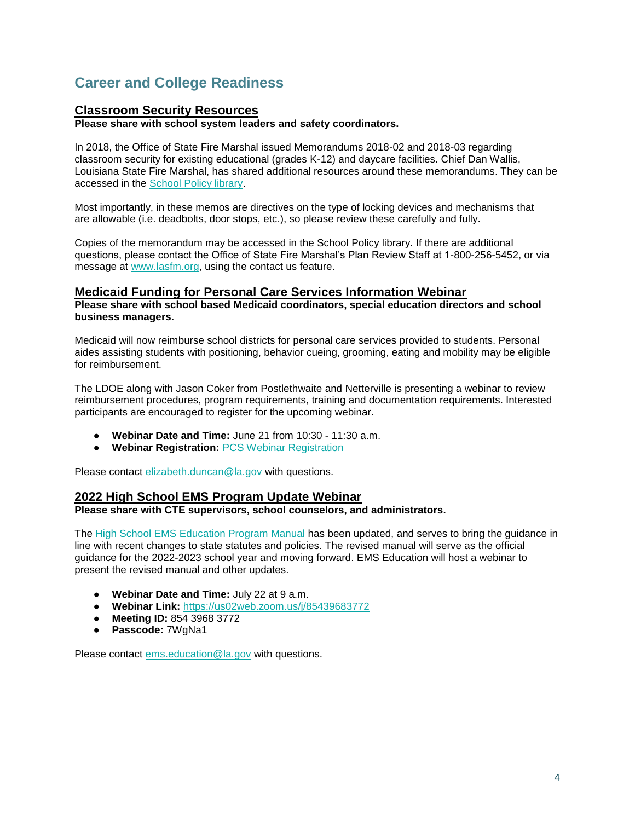## <span id="page-4-0"></span>**Career and College Readiness**

### **Classroom Security Resources**

**Please share with school system leaders and safety coordinators.**

In 2018, the Office of State Fire Marshal issued Memorandums 2018-02 and 2018-03 regarding classroom security for existing educational (grades K-12) and daycare facilities. Chief Dan Wallis, Louisiana State Fire Marshal, has shared additional resources around these memorandums. They can be accessed in the [School Policy library.](https://www.louisianabelieves.com/docs/default-source/policy/sfm-school-security-2022-memos.pdf?sfvrsn=6d696518_5/)

Most importantly, in these memos are directives on the type of locking devices and mechanisms that are allowable (i.e. deadbolts, door stops, etc.), so please review these carefully and fully.

Copies of the memorandum may be accessed in the School Policy library. If there are additional questions, please contact the Office of State Fire Marshal's Plan Review Staff at 1-800-256-5452, or via message at [www.lasfm.org,](http://www.lasfm.org/) using the contact us feature.

#### **Medicaid Funding for Personal Care Services Information Webinar**

**Please share with school based Medicaid coordinators, special education directors and school business managers.**

Medicaid will now reimburse school districts for personal care services provided to students. Personal aides assisting students with positioning, behavior cueing, grooming, eating and mobility may be eligible for reimbursement.

The LDOE along with Jason Coker from Postlethwaite and Netterville is presenting a webinar to review reimbursement procedures, program requirements, training and documentation requirements. Interested participants are encouraged to register for the upcoming webinar.

- **Webinar Date and Time:** June 21 from 10:30 11:30 a.m.
- **Webinar Registration:** [PCS Webinar Registration](https://forms.gle/9q1PG4ebn9epjFuu5)

Please contact [elizabeth.duncan@la.gov](mailto:elizabeth.duncan@la.gov) with questions.

#### **2022 High School EMS Program Update Webinar**

**Please share with CTE supervisors, school counselors, and administrators.**

The [High School EMS Education Program Manual](https://ldh.la.gov/assets/oph/ems/2022/220524HighSchoolEMSEdProgramGuide.pdf) has been updated, and serves to bring the guidance in line with recent changes to state statutes and policies. The revised manual will serve as the official guidance for the 2022-2023 school year and moving forward. EMS Education will host a webinar to present the revised manual and other updates.

- **Webinar Date and Time:** July 22 at 9 a.m.
- **Webinar Link:** [https://us02web.zoom.us/j/85439683772](https://us02web.zoom.us/j/85439683772?pwd=Wk53cFBPNjRJQnU5d0I3WmJERS85Zz09)
- **Meeting ID:** 854 3968 3772
- **Passcode:** 7WgNa1

Please contact [ems.education@la.gov](mailto:ems.education@la.gov) with questions.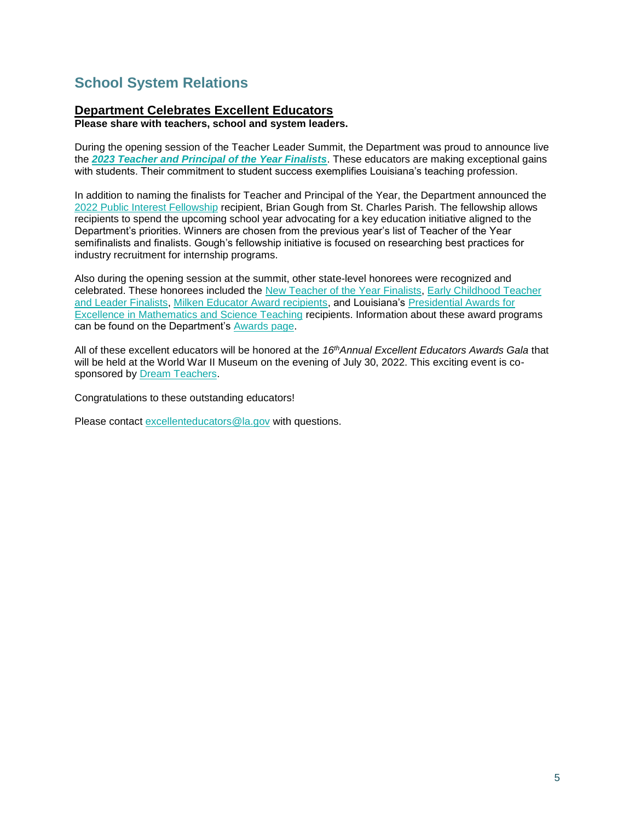## <span id="page-5-0"></span>**School System Relations**

### **Department Celebrates Excellent Educators**

**Please share with teachers, school and system leaders.** 

During the opening session of the Teacher Leader Summit, the Department was proud to announce live the *[2023 Teacher and Principal of the Year Finalists](https://www.louisianabelieves.com/docs/default-source/awards/2023-teacher-and-principal-of-the-year-finalists.pdf)*. These educators are making exceptional gains with students. Their commitment to student success exemplifies Louisiana's teaching profession.

In addition to naming the finalists for Teacher and Principal of the Year, the Department announced the [2022 Public Interest Fellowship](https://www.louisianabelieves.com/docs/default-source/awards/public-interest-fellowship-overview.pdf?sfvrsn=8bf19c1f_2) recipient, Brian Gough from St. Charles Parish. The fellowship allows recipients to spend the upcoming school year advocating for a key education initiative aligned to the Department's priorities. Winners are chosen from the previous year's list of Teacher of the Year semifinalists and finalists. Gough's fellowship initiative is focused on researching best practices for industry recruitment for internship programs.

Also during the opening session at the summit, other state-level honorees were recognized and celebrated. These honorees included the [New Teacher of the Year Finalists,](https://www.louisianabelieves.com/docs/default-source/awards/new-teacher-of-the-year-finalists-announcement.pdf) [Early Childhood Teacher](https://www.louisianabelieves.com/academics/award-programs)  [and Leader Finalists,](https://www.louisianabelieves.com/academics/award-programs) [Milken Educator Award recipients,](https://www.milkeneducatorawards.org/) and Louisiana's Presidential Awards for [Excellence in Mathematics and Science Teaching](https://www.paemst.org/) recipients. Information about these award programs can be found on the Department's [Awards page.](https://www.louisianabelieves.com/academics/award-programs)

All of these excellent educators will be honored at the *16thAnnual Excellent Educators Awards Gala* that will be held at the World War II Museum on the evening of July 30, 2022. This exciting event is cosponsored by Dream Teachers.

Congratulations to these outstanding educators!

Please contact excellenteducators@la.gov with questions.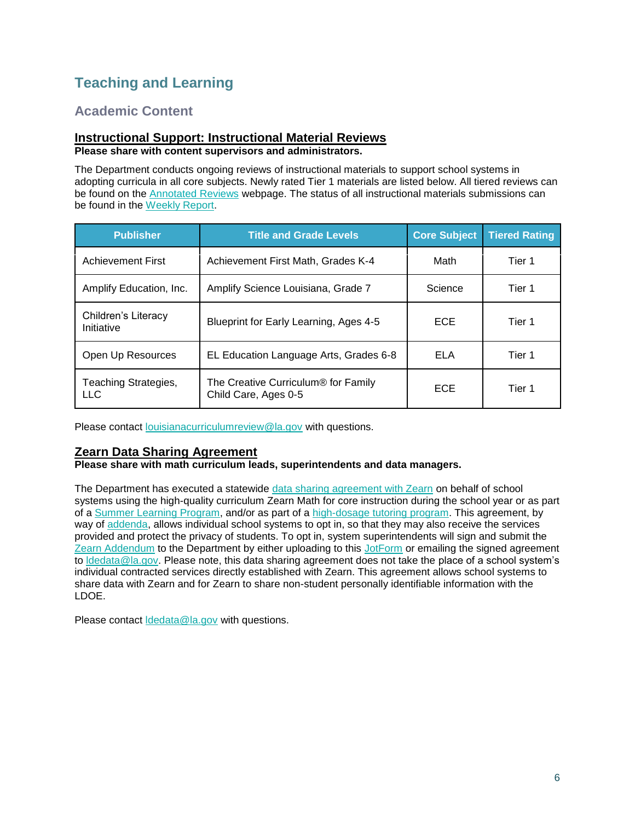## <span id="page-6-0"></span>**Teaching and Learning**

## <span id="page-6-1"></span>**Academic Content**

#### **Instructional Support: Instructional Material Reviews Please share with content supervisors and administrators.**

The Department conducts ongoing reviews of instructional materials to support school systems in adopting curricula in all core subjects. Newly rated Tier 1 materials are listed below. All tiered reviews can be found on the [Annotated Reviews](http://www.louisianabelieves.com/academics/ONLINE-INSTRUCTIONAL-MATERIALS-REVIEWS/curricular-resources-annotated-reviews) webpage. The status of all instructional materials submissions can be found in the [Weekly Report.](https://www.louisianabelieves.com/docs/default-source/curricular-resources/online-instructional-materials-reviews.pdf?sfvrsn=a26b841f_654)

| <b>Publisher</b>                  | <b>Title and Grade Levels</b>                                           | <b>Core Subject</b> | <b>Tiered Rating</b> |
|-----------------------------------|-------------------------------------------------------------------------|---------------------|----------------------|
| <b>Achievement First</b>          | Achievement First Math, Grades K-4                                      | Math                | Tier 1               |
| Amplify Education, Inc.           | Amplify Science Louisiana, Grade 7                                      | Science             | Tier 1               |
| Children's Literacy<br>Initiative | Blueprint for Early Learning, Ages 4-5                                  | <b>ECE</b>          | Tier 1               |
| Open Up Resources                 | EL Education Language Arts, Grades 6-8                                  | ELA                 | Tier 1               |
| Teaching Strategies,<br>LLC.      | The Creative Curriculum <sup>®</sup> for Family<br>Child Care, Ages 0-5 | <b>ECE</b>          | Tier 1               |

Please contact [louisianacurriculumreview@la.gov](mailto:LouisianaCurriculumReview@la.gov) with questions.

### **Zearn Data Sharing Agreement**

#### **Please share with math curriculum leads, superintendents and data managers.**

The Department has executed a statewide [data sharing agreement with Zearn](https://www.louisianabelieves.com/docs/default-source/data-management/zearn---may-2022.pdf?sfvrsn=884a6518_2) on behalf of school systems using the high-quality curriculum Zearn Math for core instruction during the school year or as part of a [Summer Learning Program,](https://www.louisianabelieves.com/docs/default-source/accelerate/accelerate-math-summer-learning-2022.pdf?sfvrsn=7f746418_18) and/or as part of a [high-dosage tutoring program.](https://www.louisianabelieves.com/docs/default-source/accelerate/accelerate-math.pdf?sfvrsn=433c6618_30) This agreement, by way of [addenda,](https://www.louisianabelieves.com/docs/default-source/data-management/zearn---addendum.docx?sfvrsn=63496518_2) allows individual school systems to opt in, so that they may also receive the services provided and protect the privacy of students. To opt in, system superintendents will sign and submit the [Zearn Addendum](https://www.louisianabelieves.com/docs/default-source/data-management/zearn---addendum.docx?sfvrsn=63496518_2) to the Department by either uploading to this [JotForm](https://form.jotform.com/221037256699160) or emailing the signed agreement to [ldedata@la.gov.](mailto:LDEdata@la.gov) Please note, this data sharing agreement does not take the place of a school system's individual contracted services directly established with Zearn. This agreement allows school systems to share data with Zearn and for Zearn to share non-student personally identifiable information with the LDOE.

<span id="page-6-2"></span>Please contact [ldedata@la.gov](mailto:LDEdata@la.gov) with questions.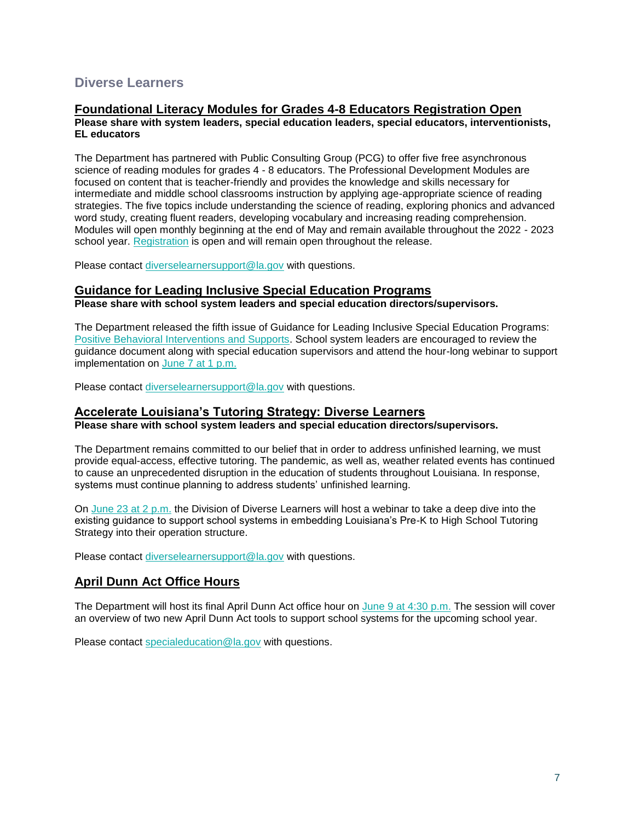## **Diverse Learners**

### **Foundational Literacy Modules for Grades 4-8 Educators Registration Open**

**Please share with system leaders, special education leaders, special educators, interventionists, EL educators**

The Department has partnered with Public Consulting Group (PCG) to offer five free asynchronous science of reading modules for grades 4 - 8 educators. The Professional Development Modules are focused on content that is teacher-friendly and provides the knowledge and skills necessary for intermediate and middle school classrooms instruction by applying age-appropriate science of reading strategies. The five topics include understanding the science of reading, exploring phonics and advanced word study, creating fluent readers, developing vocabulary and increasing reading comprehension. Modules will open monthly beginning at the end of May and remain available throughout the 2022 - 2023 school year. [Registration](https://forms.office.com/pages/responsepage.aspx?id=wxCx2SVMeUO5euJIk4zBe480GuvBKj1CvXxROcKQzeNUMlI4S0tDVFhPSkVXNU5DNkJDSlhXNkFHMy4u) is open and will remain open throughout the release.

Please contact [diverselearnersupport@la.gov](mailto:diverselearnersupport@la.gov) with questions.

#### **Guidance for Leading Inclusive Special Education Programs**

**Please share with school system leaders and special education directors/supervisors.**

The Department released the fifth issue of Guidance for Leading Inclusive Special Education Programs: [Positive Behavioral Interventions and Supports.](https://louisianabelieves.com/docs/default-source/students-with-disabilities/guidance-for-leading-inclusive-special-education-programs---positive-behavior-intervention-supports-(may-2022).pdf?sfvrsn=474c6518_6) School system leaders are encouraged to review the guidance document along with special education supervisors and attend the hour-long webinar to support implementation on [June 7 at 1 p.m.](https://ldoe.zoom.us/j/99772844385?pwd=S2Noek80VjFvOU5ZTG5pQTZOeTRNQT09)

Please contact [diverselearnersupport@la.gov](mailto:diverselearnersupport@la.gov) with questions.

## **Accelerate Louisiana's Tutoring Strategy: Diverse Learners**

**Please share with school system leaders and special education directors/supervisors.**

The Department remains committed to our belief that in order to address unfinished learning, we must provide equal-access, effective tutoring. The pandemic, as well as, weather related events has continued to cause an unprecedented disruption in the education of students throughout Louisiana. In response, systems must continue planning to address students' unfinished learning.

On [June 23 at 2 p.m.](https://ldoe.zoom.us/j/92095514424) the Division of Diverse Learners will host a webinar to take a deep dive into the existing guidance to support school systems in embedding Louisiana's Pre-K to High School Tutoring Strategy into their operation structure.

Please contact [diverselearnersupport@la.gov](mailto:diverselearnersupport@la.gov) with questions.

### **April Dunn Act Office Hours**

The Department will host its final April Dunn Act office hour on [June 9 at 4:30 p.m.](https://ldoe.zoom.us/j/92880688555) The session will cover an overview of two new April Dunn Act tools to support school systems for the upcoming school year.

<span id="page-7-0"></span>Please contact [specialeducation@la.gov](mailto:specialeducation@la.gov) with questions.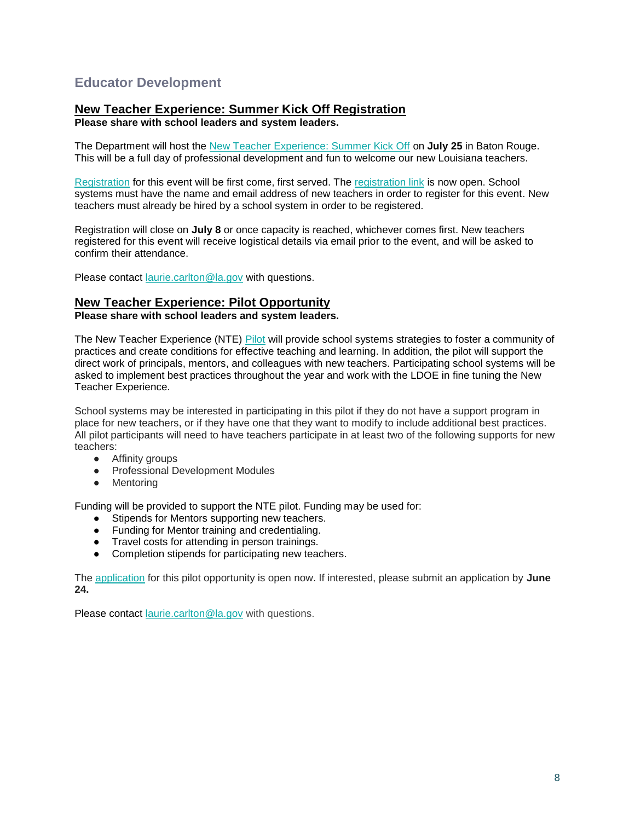## **Educator Development**

## **New Teacher Experience: Summer Kick Off Registration**

**Please share with school leaders and system leaders.**

The Department will host the [New Teacher Experience: Summer Kick Off](https://www.louisianabelieves.com/docs/default-source/awards/new-teacher-experience-summer-kick-off.pdf?sfvrsn=fa4e6518_2) on **July 25** in Baton Rouge. This will be a full day of professional development and fun to welcome our new Louisiana teachers.

[Registration](https://docs.google.com/forms/d/e/1FAIpQLSfhekakJahgArZUUi0-BZWjbk4jKUVVmTZCiyN8cliZfIc9jg/viewform?usp=sf_link) for this event will be first come, first served. The [registration link](https://docs.google.com/forms/d/e/1FAIpQLSfhekakJahgArZUUi0-BZWjbk4jKUVVmTZCiyN8cliZfIc9jg/viewform?usp=sf_link) is now open. School systems must have the name and email address of new teachers in order to register for this event. New teachers must already be hired by a school system in order to be registered.

Registration will close on **July 8** or once capacity is reached, whichever comes first. New teachers registered for this event will receive logistical details via email prior to the event, and will be asked to confirm their attendance.

Please contact [laurie.carlton@la.gov](mailto:laurie.carlton@la.gov) with questions.

### **New Teacher Experience: Pilot Opportunity**

**Please share with school leaders and system leaders.**

The New Teacher Experience (NTE) [Pilot](https://www.louisianabelieves.com/docs/default-source/awards/new-teacher-experience-pilot-overview.pdf) will provide school systems strategies to foster a community of practices and create conditions for effective teaching and learning. In addition, the pilot will support the direct work of principals, mentors, and colleagues with new teachers. Participating school systems will be asked to implement best practices throughout the year and work with the LDOE in fine tuning the New Teacher Experience.

School systems may be interested in participating in this pilot if they do not have a support program in place for new teachers, or if they have one that they want to modify to include additional best practices. All pilot participants will need to have teachers participate in at least two of the following supports for new teachers:

- Affinity groups
- Professional Development Modules
- Mentoring

Funding will be provided to support the NTE pilot. Funding may be used for:

- Stipends for Mentors supporting new teachers.
- Funding for Mentor training and credentialing.
- Travel costs for attending in person trainings.
- Completion stipends for participating new teachers.

The [application](https://docs.google.com/forms/d/e/1FAIpQLSfXpXTbVsgATUfszGUasz8u8FmATMATAzjMi7LnLUpN-B7Eug/viewform?usp=sf_link) for this pilot opportunity is open now. If interested, please submit an application by **June 24.**

Please contact [laurie.carlton@la.gov](mailto:laurie.carlton@la.gov) with questions.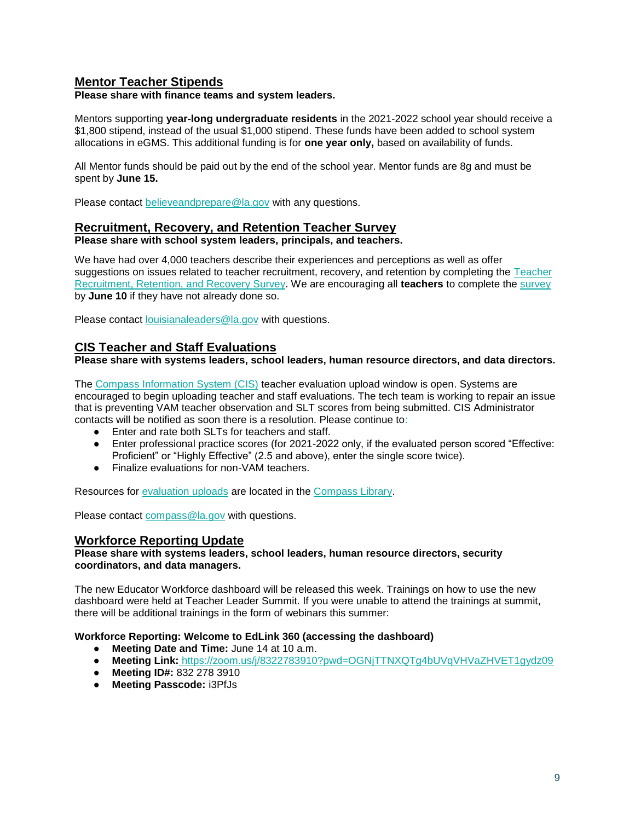### **Mentor Teacher Stipends**

**Please share with finance teams and system leaders.**

Mentors supporting **year-long undergraduate residents** in the 2021-2022 school year should receive a \$1,800 stipend, instead of the usual \$1,000 stipend. These funds have been added to school system allocations in eGMS. This additional funding is for **one year only,** based on availability of funds.

All Mentor funds should be paid out by the end of the school year. Mentor funds are 8g and must be spent by **June 15.**

Please contact [believeandprepare@la.gov](mailto:believeandprepare@la.gov) with any questions.

#### **Recruitment, Recovery, and Retention Teacher Survey**

#### **Please share with school system leaders, principals, and teachers.**

We have had over 4,000 teachers describe their experiences and perceptions as well as offer suggestions on issues related to teacher recruitment, recovery, and retention by completing the [Teacher](https://survey.alchemer.com/s3/6839519/Region-14-CC-Teacher-Recruitment-Retention-and-Recovery-Survey)  [Recruitment, Retention, and Recovery Survey.](https://survey.alchemer.com/s3/6839519/Region-14-CC-Teacher-Recruitment-Retention-and-Recovery-Survey) We are encouraging all **teachers** to complete the [survey](https://survey.alchemer.com/s3/6839519/Region-14-CC-Teacher-Recruitment-Retention-and-Recovery-Survey)  by **June 10** if they have not already done so.

Please contact [louisianaleaders@la.gov](mailto:louisianaleaders@la.gov) with questions.

### **CIS Teacher and Staff Evaluations**

#### **Please share with systems leaders, school leaders, human resource directors, and data directors.**

The [Compass Information System \(CIS\)](https://leads13.doe.louisiana.gov/hcs/) teacher evaluation upload window is open. Systems are encouraged to begin uploading teacher and staff evaluations. The tech team is working to repair an issue that is preventing VAM teacher observation and SLT scores from being submitted. CIS Administrator contacts will be notified as soon there is a resolution. Please continue to:

- Enter and rate both SLTs for teachers and staff.
- Enter professional practice scores (for 2021-2022 only, if the evaluated person scored "Effective: Proficient" or "Highly Effective" (2.5 and above), enter the single score twice).
- Finalize evaluations for non-VAM teachers.

Resources for [evaluation uploads](https://www.louisianabelieves.com/docs/default-source/teaching/compass-information-system-evaluation-upload-guide.pdf?sfvrsn=2c216718_8) are located in the [Compass Library.](https://www.louisianabelieves.com/resources/library/compass) 

Please contact [compass@la.gov](mailto:compass@la.gov) with questions.

#### **Workforce Reporting Update**

#### **Please share with systems leaders, school leaders, human resource directors, security coordinators, and data managers.**

The new Educator Workforce dashboard will be released this week. Trainings on how to use the new dashboard were held at Teacher Leader Summit. If you were unable to attend the trainings at summit, there will be additional trainings in the form of webinars this summer:

#### **Workforce Reporting: Welcome to EdLink 360 (accessing the dashboard)**

- **Meeting Date and Time:** June 14 at 10 a.m.
- **Meeting Link:** <https://zoom.us/j/8322783910?pwd=OGNjTTNXQTg4bUVqVHVaZHVET1gydz09>
- **Meeting ID#:** 832 278 3910
- **Meeting Passcode:** i3PfJs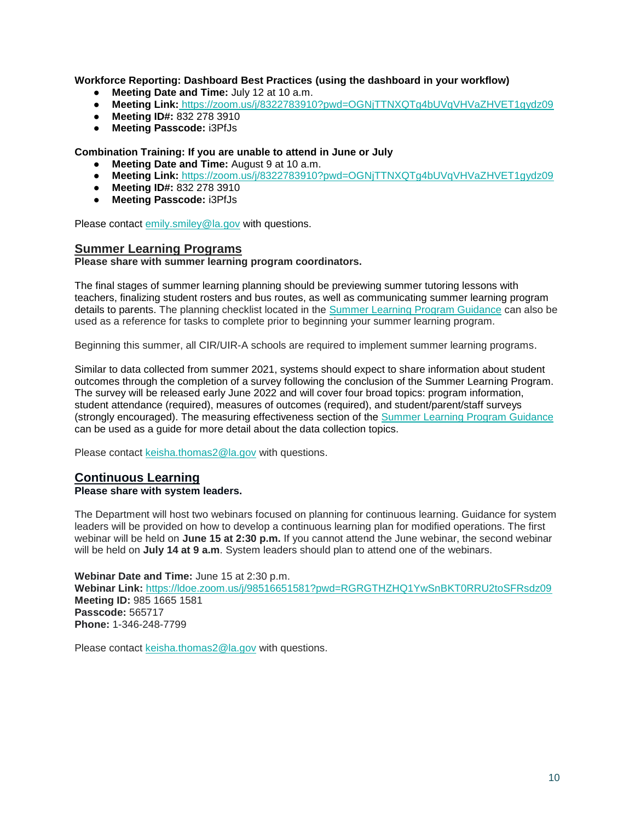**Workforce Reporting: Dashboard Best Practices (using the dashboard in your workflow)**

- **Meeting Date and Time:** July 12 at 10 a.m.
- **Meeting Link:** <https://zoom.us/j/8322783910?pwd=OGNjTTNXQTg4bUVqVHVaZHVET1gydz09>
- **Meeting ID#:** 832 278 3910
- **Meeting Passcode:** i3PfJs

**Combination Training: If you are unable to attend in June or July**

- **Meeting Date and Time:** August 9 at 10 a.m.
- **Meeting Link:** <https://zoom.us/j/8322783910?pwd=OGNjTTNXQTg4bUVqVHVaZHVET1gydz09>
- **Meeting ID#:** 832 278 3910
- **Meeting Passcode:** i3PfJs

Please contact [emily.smiley@la.gov](mailto:emily.smiley@la.gov) with questions.

#### **Summer Learning Programs**

#### **Please share with summer learning program coordinators.**

The final stages of summer learning planning should be previewing summer tutoring lessons with teachers, finalizing student rosters and bus routes, as well as communicating summer learning program details to parents. The planning checklist located in the [Summer Learning Program Guidance](https://www.louisianabelieves.com/docs/default-source/academics/summer-learning-program-guidance-2021.pdf?sfvrsn=9f5a6618_2) can also be used as a reference for tasks to complete prior to beginning your summer learning program.

Beginning this summer, all CIR/UIR-A schools are required to implement summer learning programs.

Similar to data collected from summer 2021, systems should expect to share information about student outcomes through the completion of a survey following the conclusion of the Summer Learning Program. The survey will be released early June 2022 and will cover four broad topics: program information, student attendance (required), measures of outcomes (required), and student/parent/staff surveys (strongly encouraged). The measuring effectiveness section of the [Summer Learning Program Guidance](https://www.louisianabelieves.com/docs/default-source/academics/summer-learning-program-guidance-2021.pdf?sfvrsn=9f5a6618_2) can be used as a guide for more detail about the data collection topics.

Please contact [keisha.thomas2@la.gov](mailto:Keisha.Thomas2@la.gov) with questions.

### **Continuous Learning**

#### **Please share with system leaders.**

The Department will host two webinars focused on planning for continuous learning. Guidance for system leaders will be provided on how to develop a continuous learning plan for modified operations. The first webinar will be held on **June 15 at 2:30 p.m.** If you cannot attend the June webinar, the second webinar will be held on **July 14 at 9 a.m**. System leaders should plan to attend one of the webinars.

**Webinar Date and Time:** June 15 at 2:30 p.m.

**Webinar Link:** <https://ldoe.zoom.us/j/98516651581?pwd=RGRGTHZHQ1YwSnBKT0RRU2toSFRsdz09> **Meeting ID:** 985 1665 1581 **Passcode:** 565717 **Phone:** 1-346-248-7799

Please contact [keisha.thomas2@la.gov](mailto:Keisha.Thomas2@la.gov) with questions.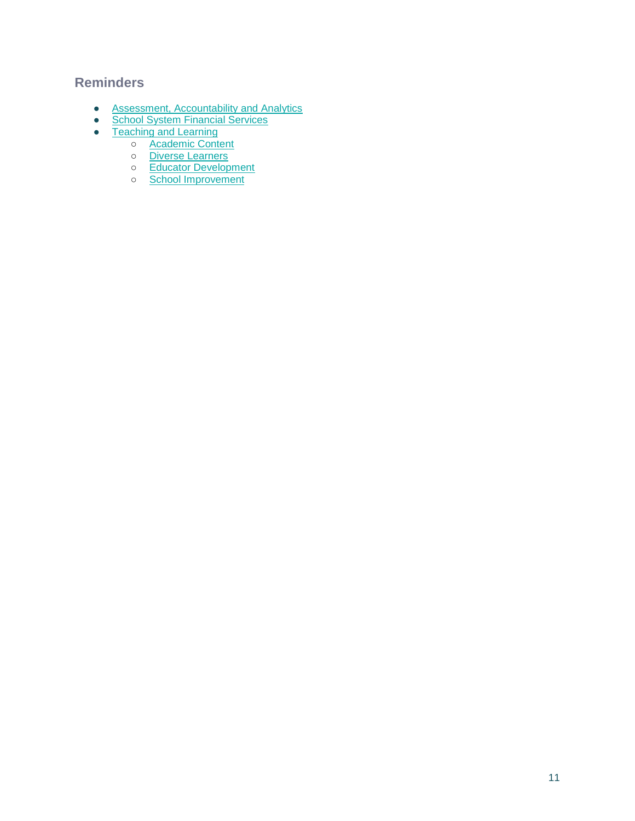## <span id="page-11-0"></span>**Reminders**

- <span id="page-11-1"></span>● [Assessment, Accountability and Analytics](#page-11-1)
- **[School System Financial Services](#page-14-0)**
- [Teaching and Learning](#page-15-0)
	- o **[Academic Content](#page-15-1)**
	- o [Diverse Learners](#page-15-2)
	- o [Educator Development](#page-15-3)
	- o [School Improvement](#page-16-0)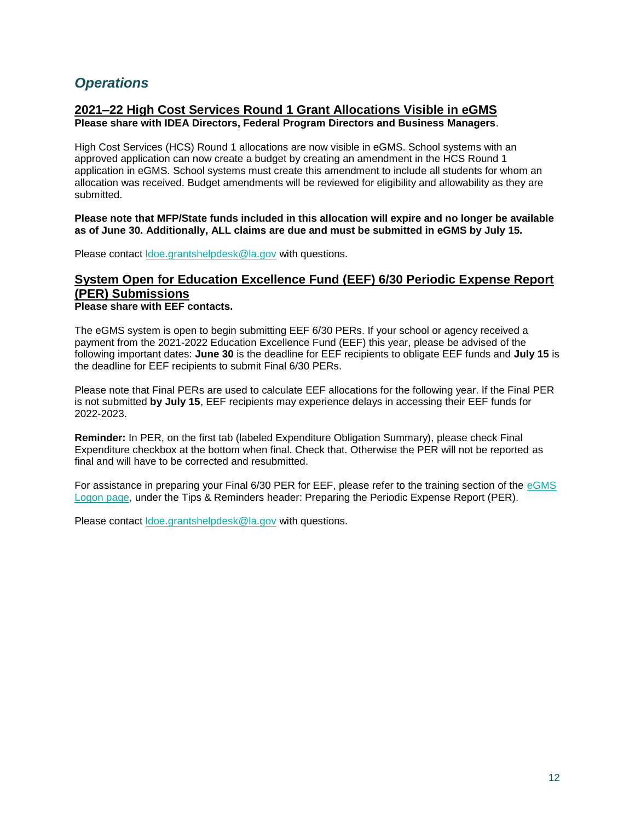## *Operations*

#### **2021–22 High Cost Services Round 1 Grant Allocations Visible in eGMS Please share with IDEA Directors, Federal Program Directors and Business Managers**.

High Cost Services (HCS) Round 1 allocations are now visible in eGMS. School systems with an approved application can now create a budget by creating an amendment in the HCS Round 1 application in eGMS. School systems must create this amendment to include all students for whom an allocation was received. Budget amendments will be reviewed for eligibility and allowability as they are submitted.

**Please note that MFP/State funds included in this allocation will expire and no longer be available as of June 30. Additionally, ALL claims are due and must be submitted in eGMS by July 15.**

Please contact [ldoe.grantshelpdesk@la.gov](mailto:ldoe.grantshelpdesk@la.gov) with questions.

## **System Open for Education Excellence Fund (EEF) 6/30 Periodic Expense Report (PER) Submissions**

**Please share with EEF contacts.**

The eGMS system is open to begin submitting EEF 6/30 PERs. If your school or agency received a payment from the 2021-2022 Education Excellence Fund (EEF) this year, please be advised of the following important dates: **June 30** is the deadline for EEF recipients to obligate EEF funds and **July 15** is the deadline for EEF recipients to submit Final 6/30 PERs.

Please note that Final PERs are used to calculate EEF allocations for the following year. If the Final PER is not submitted **by July 15**, EEF recipients may experience delays in accessing their EEF funds for 2022-2023.

**Reminder:** In PER, on the first tab (labeled Expenditure Obligation Summary), please check Final Expenditure checkbox at the bottom when final. Check that. Otherwise the PER will not be reported as final and will have to be corrected and resubmitted.

For assistance in preparing your Final 6/30 PER for EEF, please refer to the training section of the [eGMS](https://egmsp.doe.louisiana.gov/LDEGMSWeb/Logon.aspx)  [Logon page,](https://egmsp.doe.louisiana.gov/LDEGMSWeb/Logon.aspx) under the Tips & Reminders header: Preparing the Periodic Expense Report (PER).

Please contact [ldoe.grantshelpdesk@la.gov](mailto:ldoe.grantshelpdesk@la.gov) with questions.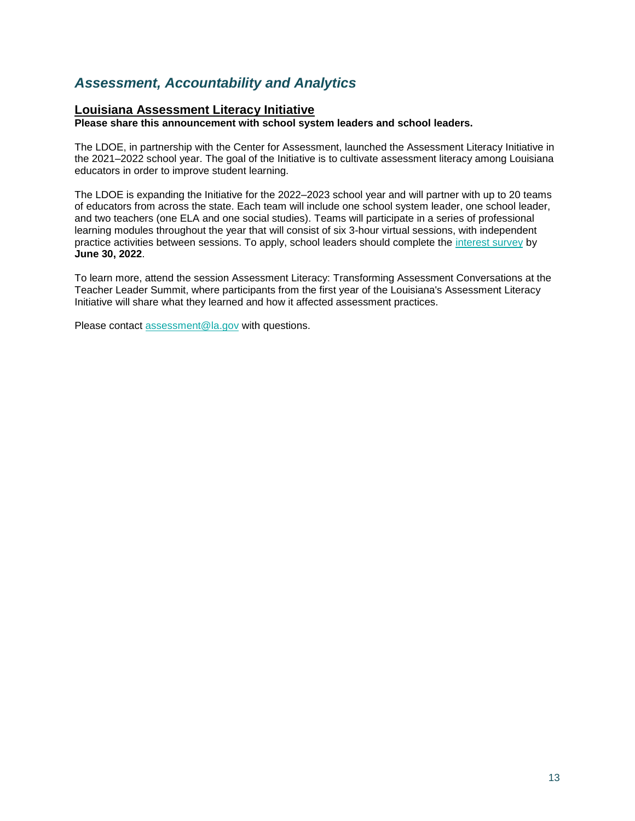## *Assessment, Accountability and Analytics*

### **Louisiana Assessment Literacy Initiative**

**Please share this announcement with school system leaders and school leaders.**

The LDOE, in partnership with the Center for Assessment, launched the Assessment Literacy Initiative in the 2021–2022 school year. The goal of the Initiative is to cultivate assessment literacy among Louisiana educators in order to improve student learning.

The LDOE is expanding the Initiative for the 2022–2023 school year and will partner with up to 20 teams of educators from across the state. Each team will include one school system leader, one school leader, and two teachers (one ELA and one social studies). Teams will participate in a series of professional learning modules throughout the year that will consist of six 3-hour virtual sessions, with independent practice activities between sessions. To apply, school leaders should complete the [interest survey](https://docs.google.com/forms/d/e/1FAIpQLSc8wPVFqk3Qb062CCda0bGbANSellkZSzrizltgLqMdvPPreQ/viewform?usp=sf_link) by **June 30, 2022**.

To learn more, attend the session Assessment Literacy: Transforming Assessment Conversations at the Teacher Leader Summit, where participants from the first year of the Louisiana's Assessment Literacy Initiative will share what they learned and how it affected assessment practices.

Please contact [assessment@la.gov](mailto:assessment@la.gov) with questions.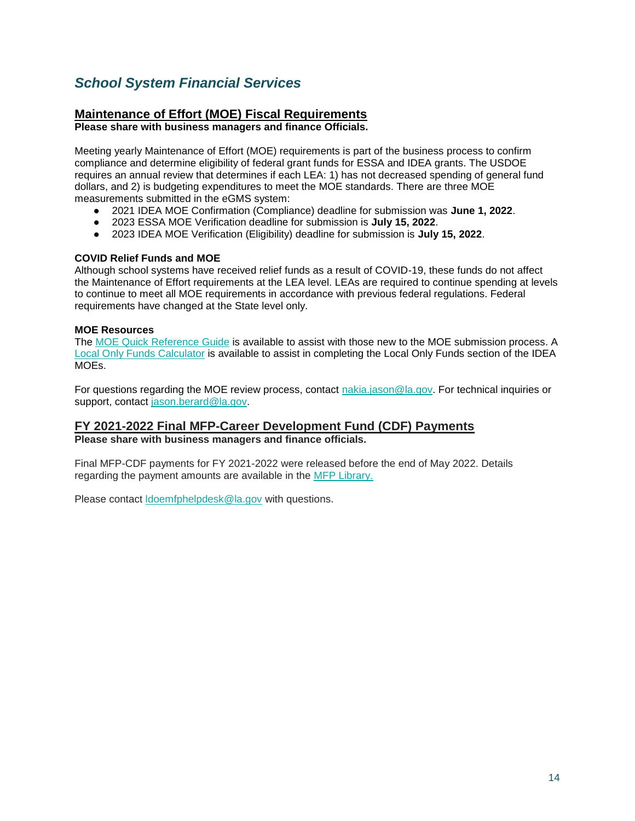## <span id="page-14-0"></span>*School System Financial Services*

## **Maintenance of Effort (MOE) Fiscal Requirements**

**Please share with business managers and finance Officials.**

Meeting yearly Maintenance of Effort (MOE) requirements is part of the business process to confirm compliance and determine eligibility of federal grant funds for ESSA and IDEA grants. The USDOE requires an annual review that determines if each LEA: 1) has not decreased spending of general fund dollars, and 2) is budgeting expenditures to meet the MOE standards. There are three MOE measurements submitted in the eGMS system:

- 2021 IDEA MOE Confirmation (Compliance) deadline for submission was **June 1, 2022**.
- 2023 ESSA MOE Verification deadline for submission is **July 15, 2022**.
- 2023 IDEA MOE Verification (Eligibility) deadline for submission is **July 15, 2022**.

#### **COVID Relief Funds and MOE**

Although school systems have received relief funds as a result of COVID-19, these funds do not affect the Maintenance of Effort requirements at the LEA level. LEAs are required to continue spending at levels to continue to meet all MOE requirements in accordance with previous federal regulations. Federal requirements have changed at the State level only.

#### **MOE Resources**

The [MOE Quick Reference Guide](https://www.louisianabelieves.com/docs/default-source/links-for-newsletters/maintenance-of-effort-quick-guide-for-egms-users-in-2022.pdf?sfvrsn=bb2e6518_2) is available to assist with those new to the MOE submission process. A [Local Only Funds Calculator](https://www.louisianabelieves.com/docs/default-source/links-for-newsletters/local-only-funds-calculatorc9b5035c8c9b66d6b292ff0000215f92.xlsx?sfvrsn=ba2e6518_2) is available to assist in completing the Local Only Funds section of the IDEA MOEs.

For questions regarding the MOE review process, contact [nakia.jason@la.gov.](mailto:nakia.jason@la.gov) For technical inquiries or support, contact [jason.berard@la.gov.](mailto:jason.berard@la.gov)

## **FY 2021-2022 Final MFP-Career Development Fund (CDF) Payments**

**Please share with business managers and finance officials.**

Final MFP-CDF payments for FY 2021-2022 were released before the end of May 2022. Details regarding the payment amounts are available in the [MFP Library.](https://www.louisianabelieves.com/resources/library/minimum-foundation-program) 

Please contact [ldoemfphelpdesk@la.gov](mailto:LDOEMFPhelpdesk@la.gov) with questions.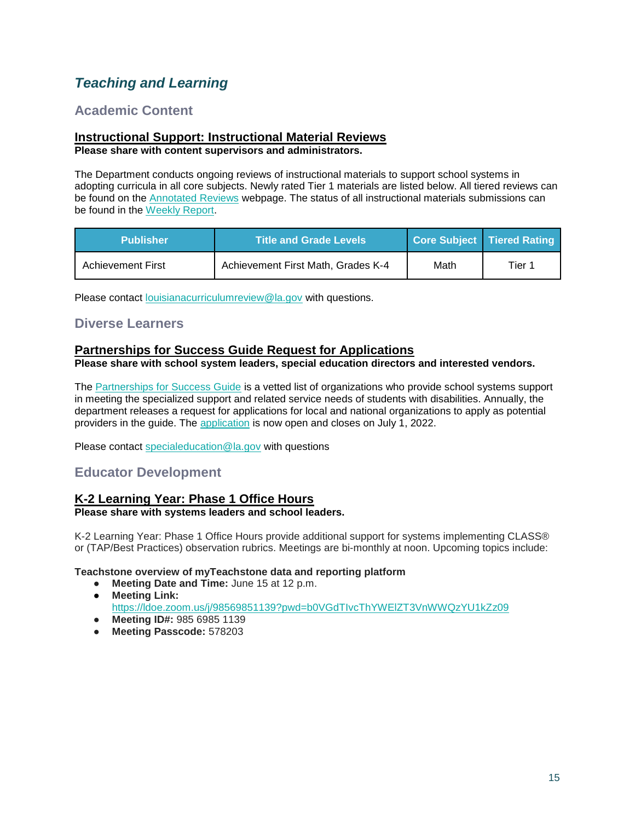## <span id="page-15-0"></span>*Teaching and Learning*

## <span id="page-15-1"></span>**Academic Content**

#### **Instructional Support: Instructional Material Reviews Please share with content supervisors and administrators.**

The Department conducts ongoing reviews of instructional materials to support school systems in adopting curricula in all core subjects. Newly rated Tier 1 materials are listed below. All tiered reviews can be found on the [Annotated Reviews](http://www.louisianabelieves.com/academics/ONLINE-INSTRUCTIONAL-MATERIALS-REVIEWS/curricular-resources-annotated-reviews) webpage. The status of all instructional materials submissions can be found in the [Weekly Report.](https://www.louisianabelieves.com/docs/default-source/curricular-resources/online-instructional-materials-reviews.pdf?sfvrsn=a26b841f_654)

| <b>Publisher</b>         | <b>Title and Grade Levels</b>      |      | Core Subject   Tiered Rating |
|--------------------------|------------------------------------|------|------------------------------|
| <b>Achievement First</b> | Achievement First Math, Grades K-4 | Math | Tier 1                       |

Please contact [louisianacurriculumreview@la.gov](mailto:LouisianaCurriculumReview@la.gov) with questions.

### <span id="page-15-2"></span>**Diverse Learners**

### **Partnerships for Success Guide Request for Applications**

**Please share with school system leaders, special education directors and interested vendors.**

The [Partnerships for Success Guide](https://www.louisianabelieves.com/docs/default-source/students-with-disabilities/partnerships-for-success-guide.pdf?sfvrsn=3af99d1f_2) is a vetted list of organizations who provide school systems support in meeting the specialized support and related service needs of students with disabilities. Annually, the department releases a request for applications for local and national organizations to apply as potential providers in the guide. Th[e](https://docs.google.com/forms/d/e/1FAIpQLSdHatVDhfasD3Y6NtUJnMJaVzs8S41zLuFjqnSNeLhIA50ssQ/viewform?usp=sf_link) [application](https://docs.google.com/forms/d/e/1FAIpQLSdHatVDhfasD3Y6NtUJnMJaVzs8S41zLuFjqnSNeLhIA50ssQ/viewform?usp=sf_link) is now open and closes on July 1, 2022.

Please contact [specialeducation@la.gov](mailto:specialeducation@la.gov) with questions

## <span id="page-15-3"></span>**Educator Development**

#### **K-2 Learning Year: Phase 1 Office Hours Please share with systems leaders and school leaders.**

K-2 Learning Year: Phase 1 Office Hours provide additional support for systems implementing CLASS® or (TAP/Best Practices) observation rubrics. Meetings are bi-monthly at noon. Upcoming topics include:

#### **Teachstone overview of myTeachstone data and reporting platform**

- **Meeting Date and Time:** June 15 at 12 p.m.
- **Meeting Link:**  <https://ldoe.zoom.us/j/98569851139?pwd=b0VGdTIvcThYWElZT3VnWWQzYU1kZz09>
- **Meeting ID#:** 985 6985 1139
- **Meeting Passcode:** 578203